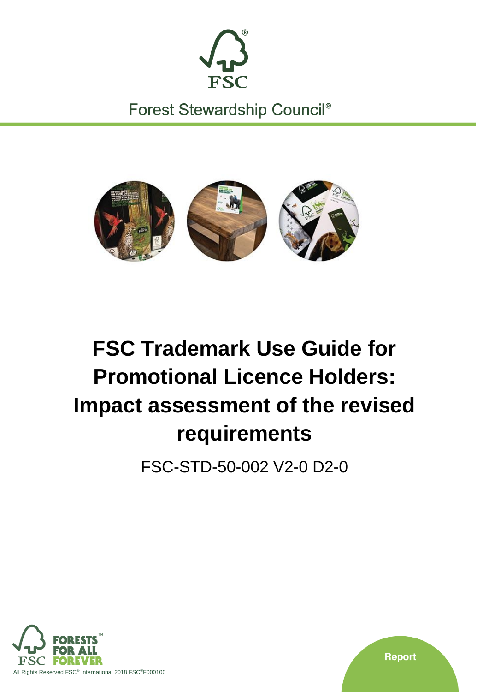

Forest Stewardship Council<sup>®</sup>



# **FSC Trademark Use Guide for Promotional Licence Holders: Impact assessment of the revised requirements**

FSC-STD-50-002 V2-0 D2-0



**Report**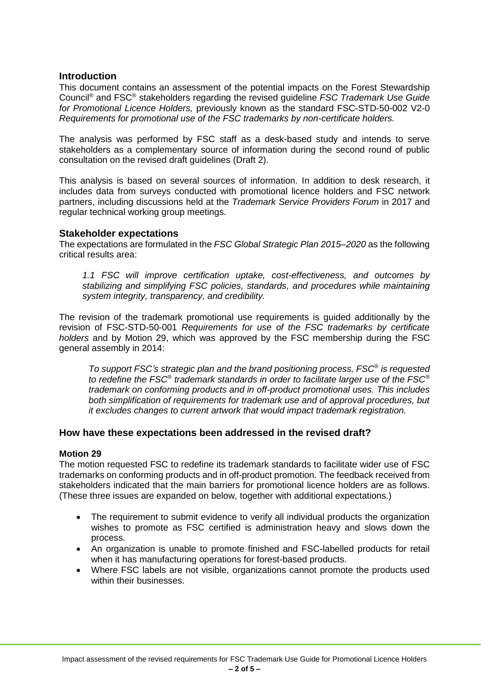# **Introduction**

This document contains an assessment of the potential impacts on the Forest Stewardship Council® and FSC® stakeholders regarding the revised guideline *FSC Trademark Use Guide for Promotional Licence Holders,* previously known as the standard FSC-STD-50-002 V2-0 *Requirements for promotional use of the FSC trademarks by non-certificate holders.*

The analysis was performed by FSC staff as a desk-based study and intends to serve stakeholders as a complementary source of information during the second round of public consultation on the revised draft guidelines (Draft 2).

This analysis is based on several sources of information. In addition to desk research, it includes data from surveys conducted with promotional licence holders and FSC network partners, including discussions held at the *Trademark Service Providers Forum* in 2017 and regular technical working group meetings.

# **Stakeholder expectations**

The expectations are formulated in the *FSC Global Strategic Plan 2015–2020* as the following critical results area:

*1.1 FSC will improve certification uptake, cost-effectiveness, and outcomes by stabilizing and simplifying FSC policies, standards, and procedures while maintaining system integrity, transparency, and credibility.*

The revision of the trademark promotional use requirements is guided additionally by the revision of FSC-STD-50-001 *Requirements for use of the FSC trademarks by certificate holders* and by Motion 29, which was approved by the FSC membership during the FSC general assembly in 2014:

*To support FSC's strategic plan and the brand positioning process, FSC® is requested to redefine the FSC® trademark standards in order to facilitate larger use of the FSC® trademark on conforming products and in off-product promotional uses. This includes both simplification of requirements for trademark use and of approval procedures, but it excludes changes to current artwork that would impact trademark registration.*

# **How have these expectations been addressed in the revised draft?**

# **Motion 29**

The motion requested FSC to redefine its trademark standards to facilitate wider use of FSC trademarks on conforming products and in off-product promotion. The feedback received from stakeholders indicated that the main barriers for promotional licence holders are as follows. (These three issues are expanded on below, together with additional expectations.)

- The requirement to submit evidence to verify all individual products the organization wishes to promote as FSC certified is administration heavy and slows down the process.
- An organization is unable to promote finished and FSC-labelled products for retail when it has manufacturing operations for forest-based products.
- Where FSC labels are not visible, organizations cannot promote the products used within their businesses.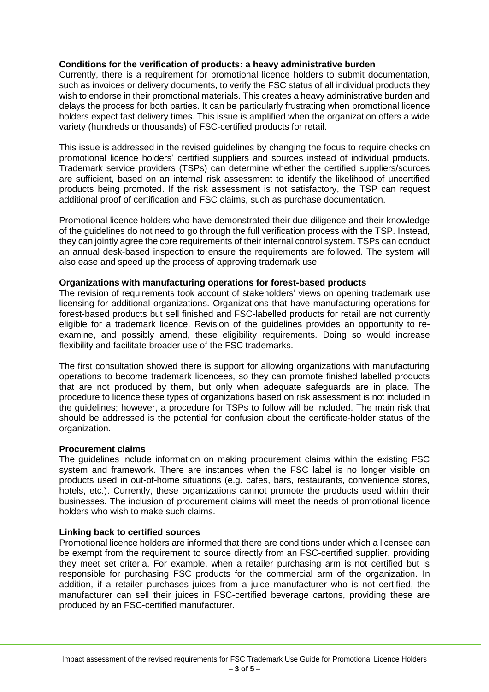# **Conditions for the verification of products: a heavy administrative burden**

Currently, there is a requirement for promotional licence holders to submit documentation, such as invoices or delivery documents, to verify the FSC status of all individual products they wish to endorse in their promotional materials. This creates a heavy administrative burden and delays the process for both parties. It can be particularly frustrating when promotional licence holders expect fast delivery times. This issue is amplified when the organization offers a wide variety (hundreds or thousands) of FSC-certified products for retail.

This issue is addressed in the revised guidelines by changing the focus to require checks on promotional licence holders' certified suppliers and sources instead of individual products. Trademark service providers (TSPs) can determine whether the certified suppliers/sources are sufficient, based on an internal risk assessment to identify the likelihood of uncertified products being promoted. If the risk assessment is not satisfactory, the TSP can request additional proof of certification and FSC claims, such as purchase documentation.

Promotional licence holders who have demonstrated their due diligence and their knowledge of the guidelines do not need to go through the full verification process with the TSP. Instead, they can jointly agree the core requirements of their internal control system. TSPs can conduct an annual desk-based inspection to ensure the requirements are followed. The system will also ease and speed up the process of approving trademark use.

## **Organizations with manufacturing operations for forest-based products**

The revision of requirements took account of stakeholders' views on opening trademark use licensing for additional organizations. Organizations that have manufacturing operations for forest-based products but sell finished and FSC-labelled products for retail are not currently eligible for a trademark licence. Revision of the guidelines provides an opportunity to reexamine, and possibly amend, these eligibility requirements. Doing so would increase flexibility and facilitate broader use of the FSC trademarks.

The first consultation showed there is support for allowing organizations with manufacturing operations to become trademark licencees, so they can promote finished labelled products that are not produced by them, but only when adequate safeguards are in place. The procedure to licence these types of organizations based on risk assessment is not included in the guidelines; however, a procedure for TSPs to follow will be included. The main risk that should be addressed is the potential for confusion about the certificate-holder status of the organization.

## **Procurement claims**

The guidelines include information on making procurement claims within the existing FSC system and framework. There are instances when the FSC label is no longer visible on products used in out-of-home situations (e.g. cafes, bars, restaurants, convenience stores, hotels, etc.). Currently, these organizations cannot promote the products used within their businesses. The inclusion of procurement claims will meet the needs of promotional licence holders who wish to make such claims.

## **Linking back to certified sources**

Promotional licence holders are informed that there are conditions under which a licensee can be exempt from the requirement to source directly from an FSC-certified supplier, providing they meet set criteria. For example, when a retailer purchasing arm is not certified but is responsible for purchasing FSC products for the commercial arm of the organization. In addition, if a retailer purchases juices from a juice manufacturer who is not certified, the manufacturer can sell their juices in FSC-certified beverage cartons, providing these are produced by an FSC-certified manufacturer.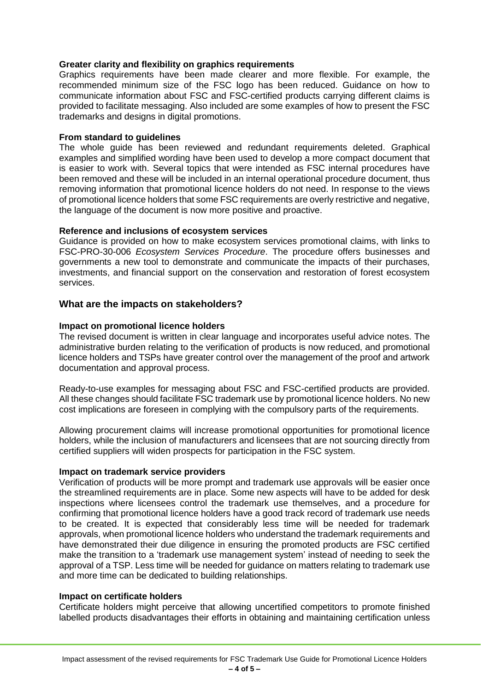## **Greater clarity and flexibility on graphics requirements**

Graphics requirements have been made clearer and more flexible. For example, the recommended minimum size of the FSC logo has been reduced. Guidance on how to communicate information about FSC and FSC-certified products carrying different claims is provided to facilitate messaging. Also included are some examples of how to present the FSC trademarks and designs in digital promotions.

## **From standard to guidelines**

The whole guide has been reviewed and redundant requirements deleted. Graphical examples and simplified wording have been used to develop a more compact document that is easier to work with. Several topics that were intended as FSC internal procedures have been removed and these will be included in an internal operational procedure document, thus removing information that promotional licence holders do not need. In response to the views of promotional licence holders that some FSC requirements are overly restrictive and negative, the language of the document is now more positive and proactive.

## **Reference and inclusions of ecosystem services**

Guidance is provided on how to make ecosystem services promotional claims, with links to FSC-PRO-30-006 *Ecosystem Services Procedure*. The procedure offers businesses and governments a new tool to demonstrate and communicate the impacts of their purchases, investments, and financial support on the conservation and restoration of forest ecosystem services.

# **What are the impacts on stakeholders?**

## **Impact on promotional licence holders**

The revised document is written in clear language and incorporates useful advice notes. The administrative burden relating to the verification of products is now reduced, and promotional licence holders and TSPs have greater control over the management of the proof and artwork documentation and approval process.

Ready-to-use examples for messaging about FSC and FSC-certified products are provided. All these changes should facilitate FSC trademark use by promotional licence holders. No new cost implications are foreseen in complying with the compulsory parts of the requirements.

Allowing procurement claims will increase promotional opportunities for promotional licence holders, while the inclusion of manufacturers and licensees that are not sourcing directly from certified suppliers will widen prospects for participation in the FSC system.

## **Impact on trademark service providers**

Verification of products will be more prompt and trademark use approvals will be easier once the streamlined requirements are in place. Some new aspects will have to be added for desk inspections where licensees control the trademark use themselves, and a procedure for confirming that promotional licence holders have a good track record of trademark use needs to be created. It is expected that considerably less time will be needed for trademark approvals, when promotional licence holders who understand the trademark requirements and have demonstrated their due diligence in ensuring the promoted products are FSC certified make the transition to a 'trademark use management system' instead of needing to seek the approval of a TSP. Less time will be needed for guidance on matters relating to trademark use and more time can be dedicated to building relationships.

## **Impact on certificate holders**

Certificate holders might perceive that allowing uncertified competitors to promote finished labelled products disadvantages their efforts in obtaining and maintaining certification unless